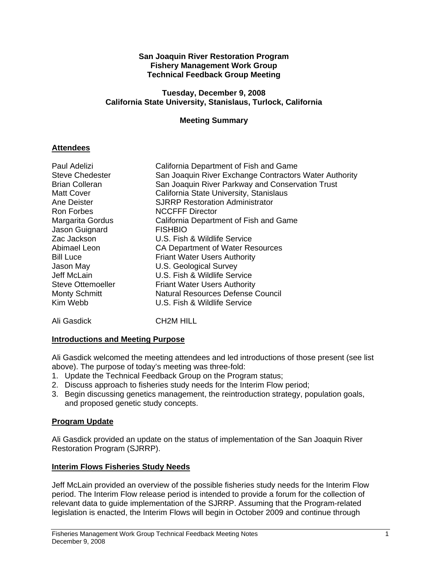#### **San Joaquin River Restoration Program Fishery Management Work Group Technical Feedback Group Meeting**

#### **Tuesday, December 9, 2008 California State University, Stanislaus, Turlock, California**

### **Meeting Summary**

### **Attendees**

| Paul Adelizi             | California Department of Fish and Game                 |
|--------------------------|--------------------------------------------------------|
| <b>Steve Chedester</b>   | San Joaquin River Exchange Contractors Water Authority |
| <b>Brian Colleran</b>    | San Joaquin River Parkway and Conservation Trust       |
| <b>Matt Cover</b>        | California State University, Stanislaus                |
| Ane Deister              | <b>SJRRP Restoration Administrator</b>                 |
| Ron Forbes               | <b>NCCFFF Director</b>                                 |
| Margarita Gordus         | California Department of Fish and Game                 |
| Jason Guignard           | <b>FISHBIO</b>                                         |
| Zac Jackson              | U.S. Fish & Wildlife Service                           |
| Abimael Leon             | CA Department of Water Resources                       |
| <b>Bill Luce</b>         | <b>Friant Water Users Authority</b>                    |
| Jason May                | U.S. Geological Survey                                 |
| Jeff McLain              | U.S. Fish & Wildlife Service                           |
| <b>Steve Ottemoeller</b> | <b>Friant Water Users Authority</b>                    |
| <b>Monty Schmitt</b>     | <b>Natural Resources Defense Council</b>               |
| Kim Webb                 | U.S. Fish & Wildlife Service                           |
|                          |                                                        |

Ali Gasdick CH2M HILL

# **Introductions and Meeting Purpose**

Ali Gasdick welcomed the meeting attendees and led introductions of those present (see list above). The purpose of today's meeting was three-fold:

- 1. Update the Technical Feedback Group on the Program status;
- 2. Discuss approach to fisheries study needs for the Interim Flow period;
- 3. Begin discussing genetics management, the reintroduction strategy, population goals, and proposed genetic study concepts.

# **Program Update**

Ali Gasdick provided an update on the status of implementation of the San Joaquin River Restoration Program (SJRRP).

# **Interim Flows Fisheries Study Needs**

Jeff McLain provided an overview of the possible fisheries study needs for the Interim Flow period. The Interim Flow release period is intended to provide a forum for the collection of relevant data to guide implementation of the SJRRP. Assuming that the Program-related legislation is enacted, the Interim Flows will begin in October 2009 and continue through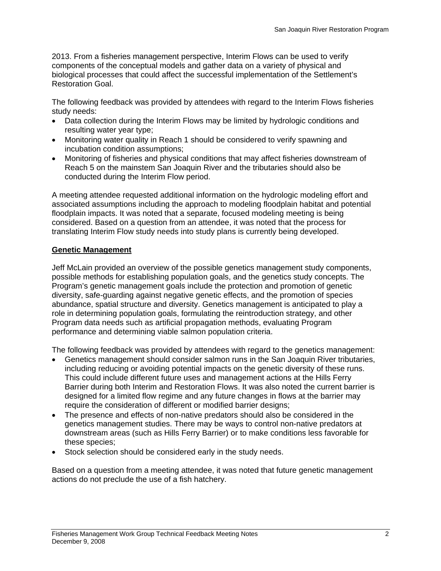2013. From a fisheries management perspective, Interim Flows can be used to verify components of the conceptual models and gather data on a variety of physical and biological processes that could affect the successful implementation of the Settlement's Restoration Goal.

The following feedback was provided by attendees with regard to the Interim Flows fisheries study needs:

- Data collection during the Interim Flows may be limited by hydrologic conditions and resulting water year type;
- Monitoring water quality in Reach 1 should be considered to verify spawning and incubation condition assumptions;
- Monitoring of fisheries and physical conditions that may affect fisheries downstream of Reach 5 on the mainstem San Joaquin River and the tributaries should also be conducted during the Interim Flow period.

A meeting attendee requested additional information on the hydrologic modeling effort and associated assumptions including the approach to modeling floodplain habitat and potential floodplain impacts. It was noted that a separate, focused modeling meeting is being considered. Based on a question from an attendee, it was noted that the process for translating Interim Flow study needs into study plans is currently being developed.

#### **Genetic Management**

Jeff McLain provided an overview of the possible genetics management study components, possible methods for establishing population goals, and the genetics study concepts. The Program's genetic management goals include the protection and promotion of genetic diversity, safe-guarding against negative genetic effects, and the promotion of species abundance, spatial structure and diversity. Genetics management is anticipated to play a role in determining population goals, formulating the reintroduction strategy, and other Program data needs such as artificial propagation methods, evaluating Program performance and determining viable salmon population criteria.

The following feedback was provided by attendees with regard to the genetics management:

- Genetics management should consider salmon runs in the San Joaquin River tributaries, including reducing or avoiding potential impacts on the genetic diversity of these runs. This could include different future uses and management actions at the Hills Ferry Barrier during both Interim and Restoration Flows. It was also noted the current barrier is designed for a limited flow regime and any future changes in flows at the barrier may require the consideration of different or modified barrier designs;
- The presence and effects of non-native predators should also be considered in the genetics management studies. There may be ways to control non-native predators at downstream areas (such as Hills Ferry Barrier) or to make conditions less favorable for these species;
- Stock selection should be considered early in the study needs.

Based on a question from a meeting attendee, it was noted that future genetic management actions do not preclude the use of a fish hatchery.